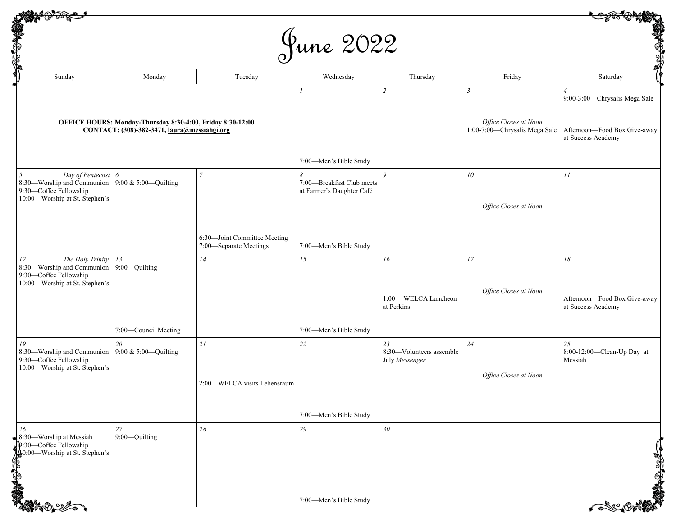|  | June 2022 |
|--|-----------|
|--|-----------|

| <b>SACTORIA</b><br>June 2022                                                                                     |                                                        |                              |                                                        |                                                        |                                                    |                                                    |
|------------------------------------------------------------------------------------------------------------------|--------------------------------------------------------|------------------------------|--------------------------------------------------------|--------------------------------------------------------|----------------------------------------------------|----------------------------------------------------|
| Sunday                                                                                                           | Monday                                                 | Tuesday                      | Wednesday                                              | Thursday                                               | Friday                                             | Saturday                                           |
|                                                                                                                  |                                                        |                              |                                                        | $\overline{\phantom{a}}$                               | $\mathfrak{Z}$                                     | 9:00-3:00-Chrysalis Mega Sale                      |
| OFFICE HOURS: Monday-Thursday 8:30-4:00, Friday 8:30-12:00<br>CONTACT: (308)-382-3471, laura@messiahgi.org       |                                                        |                              |                                                        | Office Closes at Noon<br>1:00-7:00-Chrysalis Mega Sale | Afternoon-Food Box Give-away<br>at Success Academy |                                                    |
|                                                                                                                  |                                                        |                              | 7:00-Men's Bible Study                                 |                                                        |                                                    |                                                    |
| Day of Pentecost<br>8:30-Worship and Communion<br>9:30-Coffee Fellowship<br>10:00-Worship at St. Stephen's       | 6<br>9:00 & 5:00-Quilting                              | $\overline{7}$               | 7:00-Breakfast Club meets<br>at Farmer's Daughter Café | $\boldsymbol{Q}$                                       | 10                                                 | 11                                                 |
|                                                                                                                  |                                                        |                              |                                                        | Office Closes at Noon                                  |                                                    |                                                    |
|                                                                                                                  | 6:30-Joint Committee Meeting<br>7:00-Separate Meetings | 7:00-Men's Bible Study       |                                                        |                                                        |                                                    |                                                    |
| The Holy Trinity<br>12<br>8:30-Worship and Communion<br>9:30-Coffee Fellowship<br>10:00-Worship at St. Stephen's | 13<br>9:00-Quilting                                    | 14                           | 15                                                     | 16                                                     | 17                                                 | 18                                                 |
|                                                                                                                  |                                                        |                              |                                                        | 1:00-WELCA Luncheon<br>at Perkins                      | Office Closes at Noon                              | Afternoon-Food Box Give-away<br>at Success Academy |
|                                                                                                                  | 7:00-Council Meeting                                   |                              | 7:00-Men's Bible Study                                 |                                                        |                                                    |                                                    |
| 19<br>8:30-Worship and Communion<br>9:30-Coffee Fellowship<br>10:00-Worship at St. Stephen's                     | 20<br>9:00 & 5:00-Quilting                             | 21                           | 22                                                     | 23<br>8:30-Volunteers assemble<br>July Messenger       | 24                                                 | 25<br>8:00-12:00-Clean-Up Day at<br>Messiah        |
|                                                                                                                  |                                                        | 2:00-WELCA visits Lebensraum |                                                        |                                                        | Office Closes at Noon                              |                                                    |
|                                                                                                                  |                                                        | 7:00-Men's Bible Study       |                                                        |                                                        |                                                    |                                                    |
| $\bullet$ 8:30—Worship at Messiah<br>$\mathbf{p}$ :30—Coffee Fellowship<br>10:00-Worship at St. Stephen's        | $27\,$<br>9:00-Quilting                                | $28\,$                       | 29                                                     | 30                                                     |                                                    |                                                    |
|                                                                                                                  |                                                        |                              | 7:00-Men's Bible Study                                 |                                                        |                                                    |                                                    |